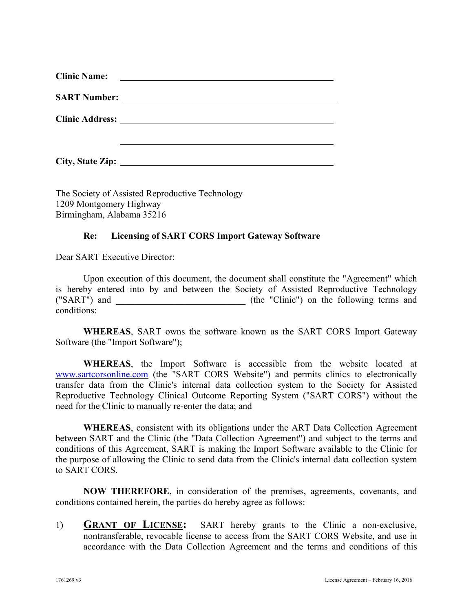| <b>Clinic Name:</b> | <u> El antiga de la contenentación de la contenentación de la contenentación de la contenentación de la contenentación de la contenentación de la contenentación de la contenentación de la contenentación de la contenentación </u> |
|---------------------|--------------------------------------------------------------------------------------------------------------------------------------------------------------------------------------------------------------------------------------|
| <b>SART Number:</b> | <u> 1989 - Andrea Stadt British, fransk politik (d. 1989)</u>                                                                                                                                                                        |
|                     |                                                                                                                                                                                                                                      |
| City, State Zip:    |                                                                                                                                                                                                                                      |

The Society of Assisted Reproductive Technology 1209 Montgomery Highway Birmingham, Alabama 35216

## **Re: Licensing of SART CORS Import Gateway Software**

Dear SART Executive Director:

Upon execution of this document, the document shall constitute the "Agreement" which is hereby entered into by and between the Society of Assisted Reproductive Technology ("SART") and  $($  the "Clinic") on the following terms and conditions:

**WHEREAS**, SART owns the software known as the SART CORS Import Gateway Software (the "Import Software");

**WHEREAS**, the Import Software is accessible from the website located at [www.sartcorsonline.com](http://www._______________.com/) (the "SART CORS Website") and permits clinics to electronically transfer data from the Clinic's internal data collection system to the Society for Assisted Reproductive Technology Clinical Outcome Reporting System ("SART CORS") without the need for the Clinic to manually re-enter the data; and

**WHEREAS**, consistent with its obligations under the ART Data Collection Agreement between SART and the Clinic (the "Data Collection Agreement") and subject to the terms and conditions of this Agreement, SART is making the Import Software available to the Clinic for the purpose of allowing the Clinic to send data from the Clinic's internal data collection system to SART CORS.

**NOW THEREFORE**, in consideration of the premises, agreements, covenants, and conditions contained herein, the parties do hereby agree as follows:

1) **GRANT OF LICENSE:** SART hereby grants to the Clinic a non-exclusive, nontransferable, revocable license to access from the SART CORS Website, and use in accordance with the Data Collection Agreement and the terms and conditions of this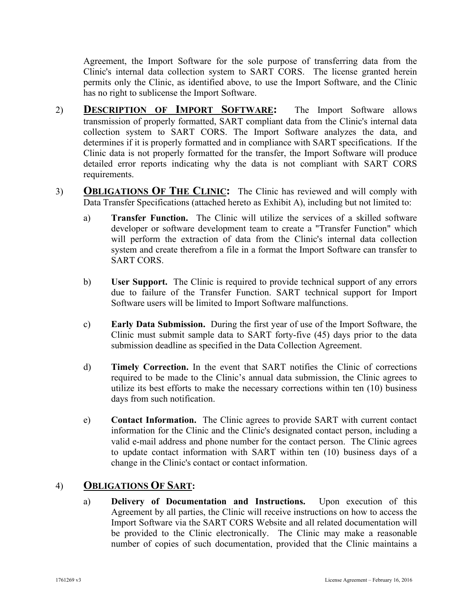Agreement, the Import Software for the sole purpose of transferring data from the Clinic's internal data collection system to SART CORS. The license granted herein permits only the Clinic, as identified above, to use the Import Software, and the Clinic has no right to sublicense the Import Software.

- 2) **DESCRIPTION OF IMPORT SOFTWARE:** The Import Software allows transmission of properly formatted, SART compliant data from the Clinic's internal data collection system to SART CORS. The Import Software analyzes the data, and determines if it is properly formatted and in compliance with SART specifications. If the Clinic data is not properly formatted for the transfer, the Import Software will produce detailed error reports indicating why the data is not compliant with SART CORS requirements.
- 3) **OBLIGATIONS OF THE CLINIC:** The Clinic has reviewed and will comply with Data Transfer Specifications (attached hereto as Exhibit A), including but not limited to:
	- a) **Transfer Function.** The Clinic will utilize the services of a skilled software developer or software development team to create a "Transfer Function" which will perform the extraction of data from the Clinic's internal data collection system and create therefrom a file in a format the Import Software can transfer to SART CORS.
	- b) **User Support.** The Clinic is required to provide technical support of any errors due to failure of the Transfer Function. SART technical support for Import Software users will be limited to Import Software malfunctions.
	- c) **Early Data Submission.** During the first year of use of the Import Software, the Clinic must submit sample data to SART forty-five (45) days prior to the data submission deadline as specified in the Data Collection Agreement.
	- d) **Timely Correction.** In the event that SART notifies the Clinic of corrections required to be made to the Clinic's annual data submission, the Clinic agrees to utilize its best efforts to make the necessary corrections within ten (10) business days from such notification.
	- e) **Contact Information.** The Clinic agrees to provide SART with current contact information for the Clinic and the Clinic's designated contact person, including a valid e-mail address and phone number for the contact person. The Clinic agrees to update contact information with SART within ten (10) business days of a change in the Clinic's contact or contact information.

## 4) **OBLIGATIONS OF SART:**

a) **Delivery of Documentation and Instructions.** Upon execution of this Agreement by all parties, the Clinic will receive instructions on how to access the Import Software via the SART CORS Website and all related documentation will be provided to the Clinic electronically. The Clinic may make a reasonable number of copies of such documentation, provided that the Clinic maintains a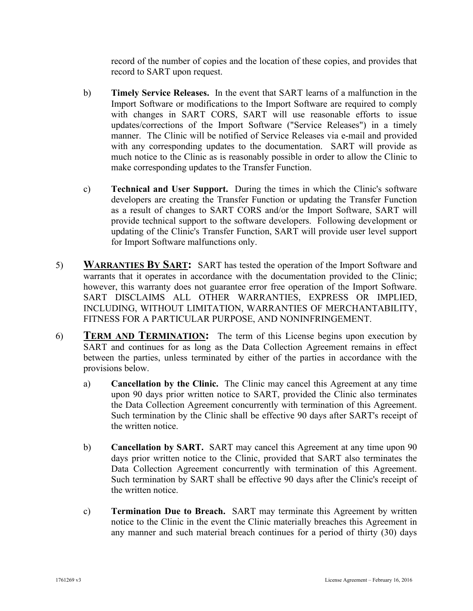record of the number of copies and the location of these copies, and provides that record to SART upon request.

- b) **Timely Service Releases.** In the event that SART learns of a malfunction in the Import Software or modifications to the Import Software are required to comply with changes in SART CORS, SART will use reasonable efforts to issue updates/corrections of the Import Software ("Service Releases") in a timely manner. The Clinic will be notified of Service Releases via e-mail and provided with any corresponding updates to the documentation. SART will provide as much notice to the Clinic as is reasonably possible in order to allow the Clinic to make corresponding updates to the Transfer Function.
- c) **Technical and User Support.** During the times in which the Clinic's software developers are creating the Transfer Function or updating the Transfer Function as a result of changes to SART CORS and/or the Import Software, SART will provide technical support to the software developers. Following development or updating of the Clinic's Transfer Function, SART will provide user level support for Import Software malfunctions only.
- 5) **WARRANTIES BY SART:** SART has tested the operation of the Import Software and warrants that it operates in accordance with the documentation provided to the Clinic; however, this warranty does not guarantee error free operation of the Import Software. SART DISCLAIMS ALL OTHER WARRANTIES, EXPRESS OR IMPLIED, INCLUDING, WITHOUT LIMITATION, WARRANTIES OF MERCHANTABILITY, FITNESS FOR A PARTICULAR PURPOSE, AND NONINFRINGEMENT.
- 6) **TERM AND TERMINATION:** The term of this License begins upon execution by SART and continues for as long as the Data Collection Agreement remains in effect between the parties, unless terminated by either of the parties in accordance with the provisions below.
	- a) **Cancellation by the Clinic.** The Clinic may cancel this Agreement at any time upon 90 days prior written notice to SART, provided the Clinic also terminates the Data Collection Agreement concurrently with termination of this Agreement. Such termination by the Clinic shall be effective 90 days after SART's receipt of the written notice.
	- b) **Cancellation by SART.** SART may cancel this Agreement at any time upon 90 days prior written notice to the Clinic, provided that SART also terminates the Data Collection Agreement concurrently with termination of this Agreement. Such termination by SART shall be effective 90 days after the Clinic's receipt of the written notice.
	- c) **Termination Due to Breach.** SART may terminate this Agreement by written notice to the Clinic in the event the Clinic materially breaches this Agreement in any manner and such material breach continues for a period of thirty (30) days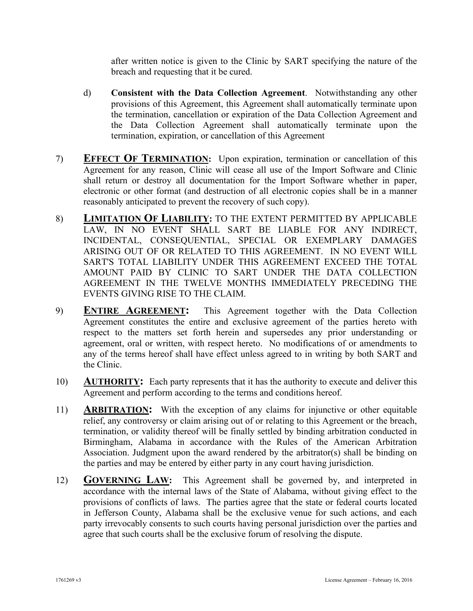after written notice is given to the Clinic by SART specifying the nature of the breach and requesting that it be cured.

- d) **Consistent with the Data Collection Agreement**. Notwithstanding any other provisions of this Agreement, this Agreement shall automatically terminate upon the termination, cancellation or expiration of the Data Collection Agreement and the Data Collection Agreement shall automatically terminate upon the termination, expiration, or cancellation of this Agreement
- 7) **EFFECT OF TERMINATION:** Upon expiration, termination or cancellation of this Agreement for any reason, Clinic will cease all use of the Import Software and Clinic shall return or destroy all documentation for the Import Software whether in paper, electronic or other format (and destruction of all electronic copies shall be in a manner reasonably anticipated to prevent the recovery of such copy).
- 8) **LIMITATION OF LIABILITY:** TO THE EXTENT PERMITTED BY APPLICABLE LAW, IN NO EVENT SHALL SART BE LIABLE FOR ANY INDIRECT, INCIDENTAL, CONSEQUENTIAL, SPECIAL OR EXEMPLARY DAMAGES ARISING OUT OF OR RELATED TO THIS AGREEMENT. IN NO EVENT WILL SART'S TOTAL LIABILITY UNDER THIS AGREEMENT EXCEED THE TOTAL AMOUNT PAID BY CLINIC TO SART UNDER THE DATA COLLECTION AGREEMENT IN THE TWELVE MONTHS IMMEDIATELY PRECEDING THE EVENTS GIVING RISE TO THE CLAIM.
- 9) **ENTIRE AGREEMENT:** This Agreement together with the Data Collection Agreement constitutes the entire and exclusive agreement of the parties hereto with respect to the matters set forth herein and supersedes any prior understanding or agreement, oral or written, with respect hereto. No modifications of or amendments to any of the terms hereof shall have effect unless agreed to in writing by both SART and the Clinic.
- 10) **AUTHORITY:** Each party represents that it has the authority to execute and deliver this Agreement and perform according to the terms and conditions hereof.
- 11) **ARBITRATION:** With the exception of any claims for injunctive or other equitable relief, any controversy or claim arising out of or relating to this Agreement or the breach, termination, or validity thereof will be finally settled by binding arbitration conducted in Birmingham, Alabama in accordance with the Rules of the American Arbitration Association. Judgment upon the award rendered by the arbitrator(s) shall be binding on the parties and may be entered by either party in any court having jurisdiction.
- 12) **GOVERNING LAW:** This Agreement shall be governed by, and interpreted in accordance with the internal laws of the State of Alabama, without giving effect to the provisions of conflicts of laws. The parties agree that the state or federal courts located in Jefferson County, Alabama shall be the exclusive venue for such actions, and each party irrevocably consents to such courts having personal jurisdiction over the parties and agree that such courts shall be the exclusive forum of resolving the dispute.